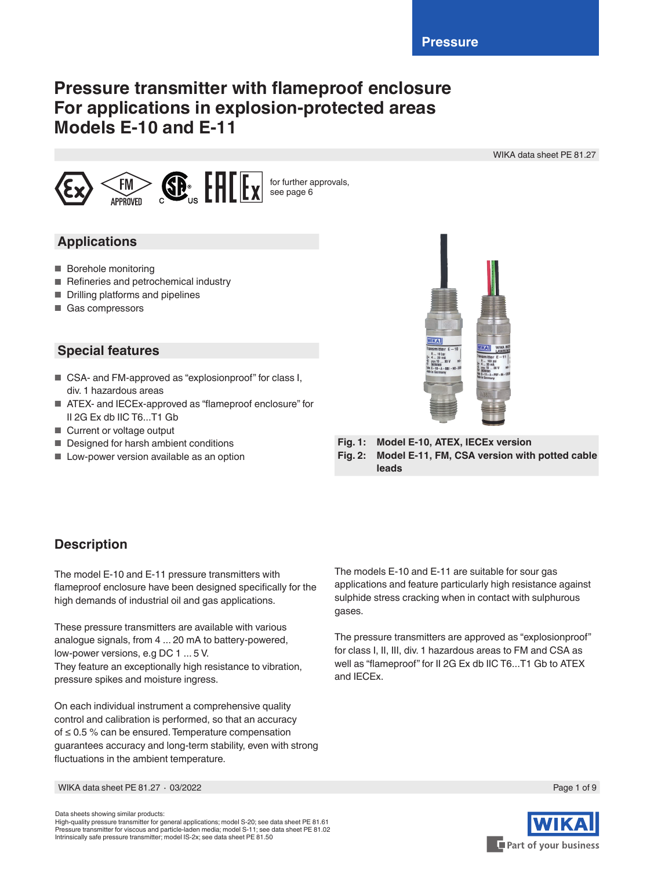# **Pressure transmitter with flameproof enclosure For applications in explosion-protected areas Models E-10 and E-11**

WIKA data sheet PE 81.27



## **Applications**

- Borehole monitoring
- Refineries and petrochemical industry
- Drilling platforms and pipelines
- Gas compressors

## **Special features**

- CSA- and FM-approved as "explosionproof" for class I, div. 1 hazardous areas
- ATEX- and IECEx-approved as "flameproof enclosure" for II 2G Ex db IIC T6...T1 Gb
- Current or voltage output
- Designed for harsh ambient conditions
- Low-power version available as an option



**Fig. 1: Model E-10, ATEX, IECEx version Fig. 2: Model E-11, FM, CSA version with potted cable leads**

# **Description**

The model E-10 and E-11 pressure transmitters with flameproof enclosure have been designed specifically for the high demands of industrial oil and gas applications.

These pressure transmitters are available with various analogue signals, from 4 ... 20 mA to battery-powered, low-power versions, e.g DC 1 ... 5 V. They feature an exceptionally high resistance to vibration, pressure spikes and moisture ingress.

On each individual instrument a comprehensive quality control and calibration is performed, so that an accuracy of ≤ 0.5 % can be ensured. Temperature compensation guarantees accuracy and long-term stability, even with strong fluctuations in the ambient temperature.

The models E-10 and E-11 are suitable for sour gas applications and feature particularly high resistance against sulphide stress cracking when in contact with sulphurous gases.

The pressure transmitters are approved as "explosionproof" for class I, II, III, div. 1 hazardous areas to FM and CSA as well as "flameproof" for II 2G Ex db IIC T6...T1 Gb to ATEX and IECEx.

WIKA data sheet PE 81.27 ∙ 03/2022



Data sheets showing similar products:

High-quality pressure transmitter for general applications; model S-20; see data sheet PE 81.61 Pressure transmitter for viscous and particle-laden media; model S-11; see data sheet PE 81.02 Intrinsically safe pressure transmitter; model IS-2x; see data sheet PE 81.50

Page 1 of 9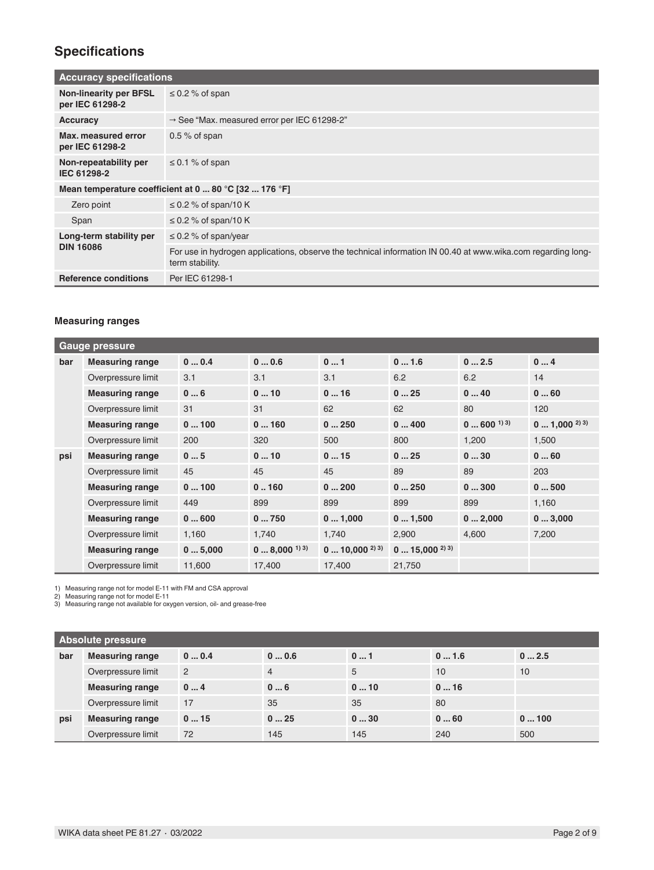# **Specifications**

|                                                  | <b>Accuracy specifications</b>                                                                                                  |  |  |  |  |
|--------------------------------------------------|---------------------------------------------------------------------------------------------------------------------------------|--|--|--|--|
| <b>Non-linearity per BFSL</b><br>per IEC 61298-2 | $\leq$ 0.2 % of span                                                                                                            |  |  |  |  |
| <b>Accuracy</b>                                  | $\rightarrow$ See "Max. measured error per IEC 61298-2"                                                                         |  |  |  |  |
| Max. measured error<br>per IEC 61298-2           | $0.5\%$ of span                                                                                                                 |  |  |  |  |
| Non-repeatability per<br>IEC 61298-2             | $\leq$ 0.1 % of span                                                                                                            |  |  |  |  |
|                                                  | Mean temperature coefficient at 0  80 °C [32  176 °F]                                                                           |  |  |  |  |
| Zero point                                       | $\leq$ 0.2 % of span/10 K                                                                                                       |  |  |  |  |
| Span                                             | $\leq$ 0.2 % of span/10 K                                                                                                       |  |  |  |  |
| Long-term stability per                          | $\leq$ 0.2 % of span/year                                                                                                       |  |  |  |  |
| <b>DIN 16086</b>                                 | For use in hydrogen applications, observe the technical information IN 00.40 at www.wika.com regarding long-<br>term stability. |  |  |  |  |
| <b>Reference conditions</b>                      | Per IEC 61298-1                                                                                                                 |  |  |  |  |

### **Measuring ranges**

|     | <b>Gauge pressure</b>  |        |                           |                                    |                                    |                           |                        |
|-----|------------------------|--------|---------------------------|------------------------------------|------------------------------------|---------------------------|------------------------|
| bar | <b>Measuring range</b> | 00.4   | 00.6                      | 01                                 | 01.6                               | 02.5                      | 04                     |
|     | Overpressure limit     | 3.1    | 3.1                       | 3.1                                | 6.2                                | 6.2                       | 14                     |
|     | <b>Measuring range</b> | 06     | 010                       | 016                                | 025                                | 040                       | 060                    |
|     | Overpressure limit     | 31     | 31                        | 62                                 | 62                                 | 80                        | 120                    |
|     | <b>Measuring range</b> | 0100   | 0160                      | 0250                               | 0400                               | $0 \dots 600^{ (1) (3) }$ | $0 \dots 1,000^{2}$ 3) |
|     | Overpressure limit     | 200    | 320                       | 500                                | 800                                | 1,200                     | 1,500                  |
| psi | <b>Measuring range</b> | 05     | 010                       | 015                                | 025                                | 030                       | 060                    |
|     | Overpressure limit     | 45     | 45                        | 45                                 | 89                                 | 89                        | 203                    |
|     | <b>Measuring range</b> | 0100   | 0.160                     | 0200                               | 0250                               | 0300                      | 0500                   |
|     | Overpressure limit     | 449    | 899                       | 899                                | 899                                | 899                       | 1,160                  |
|     | <b>Measuring range</b> | 0600   | 0750                      | 01,000                             | 01,500                             | 02,000                    | 03,000                 |
|     | Overpressure limit     | 1,160  | 1,740                     | 1,740                              | 2,900                              | 4.600                     | 7,200                  |
|     | <b>Measuring range</b> | 05,000 | $08,000$ <sup>1) 3)</sup> | $0 \dots 10,000^{2}$ <sup>2)</sup> | $0 \dots 15,000^{2}$ <sup>3)</sup> |                           |                        |
|     | Overpressure limit     | 11,600 | 17,400                    | 17,400                             | 21,750                             |                           |                        |

1) Measuring range not for model E-11 with FM and CSA approval 2) Measuring range not for model E-11 3) Measuring range not available for oxygen version, oil- and grease-free

|     | <b>Absolute pressure</b> |                |                |     |      |      |
|-----|--------------------------|----------------|----------------|-----|------|------|
| bar | <b>Measuring range</b>   | 00.4           | 00.6           | 01  | 01.6 | 02.5 |
|     | Overpressure limit       | $\overline{2}$ | $\overline{4}$ | 5   | 10   | 10   |
|     | <b>Measuring range</b>   | 04             | 06             | 010 | 016  |      |
|     | Overpressure limit       | 17             | 35             | 35  | 80   |      |
| psi | <b>Measuring range</b>   | 015            | 025            | 030 | 060  | 0100 |
|     | Overpressure limit       | 72             | 145            | 145 | 240  | 500  |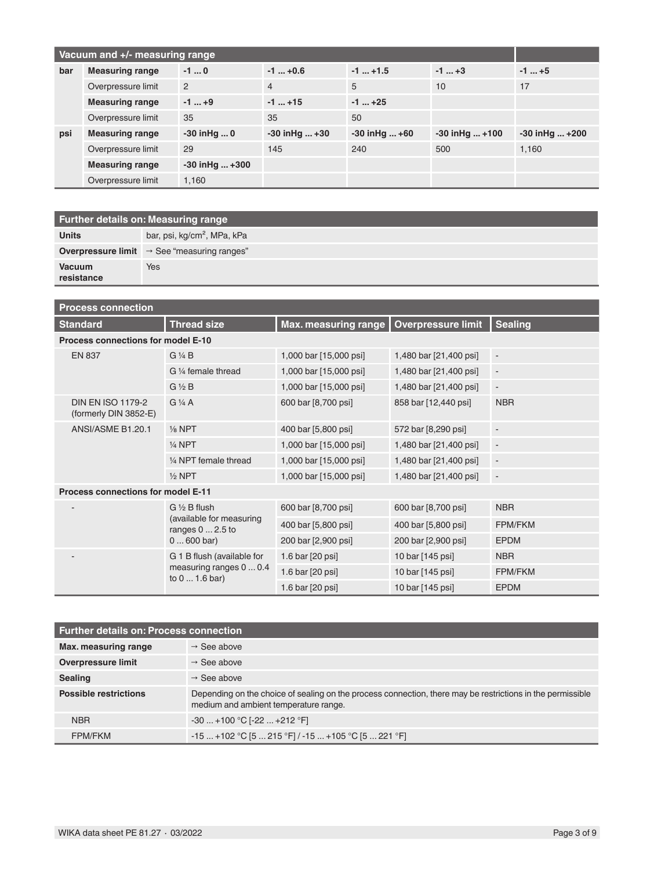| Vacuum and +/- measuring range |                        |                      |                    |                   |                      |                      |
|--------------------------------|------------------------|----------------------|--------------------|-------------------|----------------------|----------------------|
| bar                            | <b>Measuring range</b> | $-10$                | $-1$ $+0.6$        | $-1$ $+1.5$       | $-1$ $+3$            | $-1$ +5              |
|                                | Overpressure limit     | $\overline{2}$       | $\overline{4}$     | 5                 | 10                   | 17                   |
|                                | <b>Measuring range</b> | $-1+9$               | $-1$ +15           | $-1$ +25          |                      |                      |
|                                | Overpressure limit     | 35                   | 35                 | 50                |                      |                      |
| psi                            | <b>Measuring range</b> | $-30$ in Hg  0       | $-30$ in Hg $ +30$ | $-30$ in Hg $+60$ | $-30$ in Hg $ + 100$ | $-30$ in Hg $ + 200$ |
|                                | Overpressure limit     | 29                   | 145                | 240               | 500                  | 1.160                |
|                                | <b>Measuring range</b> | $-30$ in Hg $ + 300$ |                    |                   |                      |                      |
|                                | Overpressure limit     | 1.160                |                    |                   |                      |                      |

| <b>Further details on: Measuring range</b> |                                                                |  |  |  |
|--------------------------------------------|----------------------------------------------------------------|--|--|--|
| <b>Units</b>                               | bar, psi, kg/cm <sup>2</sup> , MPa, kPa                        |  |  |  |
|                                            | <b>Overpressure limit</b> $\rightarrow$ See "measuring ranges" |  |  |  |
| <b>Vacuum</b><br>resistance                | Yes                                                            |  |  |  |

| <b>Process connection</b>                         |                                                                         |                             |                        |                          |  |  |  |  |
|---------------------------------------------------|-------------------------------------------------------------------------|-----------------------------|------------------------|--------------------------|--|--|--|--|
| <b>Standard</b>                                   | <b>Thread size</b>                                                      | <b>Max. measuring range</b> | Overpressure limit     | <b>Sealing</b>           |  |  |  |  |
|                                                   | Process connections for model E-10                                      |                             |                        |                          |  |  |  |  |
| <b>EN 837</b>                                     | G 1/4 B                                                                 | 1,000 bar [15,000 psi]      | 1,480 bar [21,400 psi] | $\overline{\phantom{a}}$ |  |  |  |  |
|                                                   | G 1/4 female thread                                                     | 1,000 bar [15,000 psi]      | 1,480 bar [21,400 psi] | $\overline{\phantom{a}}$ |  |  |  |  |
|                                                   | $G\frac{1}{2}B$                                                         | 1,000 bar [15,000 psi]      | 1,480 bar [21,400 psi] | $\overline{\phantom{a}}$ |  |  |  |  |
| <b>DIN EN ISO 1179-2</b><br>(formerly DIN 3852-E) | $G\frac{1}{4}A$                                                         | 600 bar [8,700 psi]         | 858 bar [12,440 psi]   | <b>NBR</b>               |  |  |  |  |
| ANSI/ASME B1.20.1                                 | $\frac{1}{8}$ NPT                                                       | 400 bar [5,800 psi]         | 572 bar [8,290 psi]    | $\overline{\phantom{a}}$ |  |  |  |  |
|                                                   | 1/4 NPT                                                                 | 1,000 bar [15,000 psi]      | 1,480 bar [21,400 psi] | $\overline{\phantom{a}}$ |  |  |  |  |
|                                                   | 1/4 NPT female thread                                                   | 1,000 bar [15,000 psi]      | 1,480 bar [21,400 psi] | $\overline{\phantom{a}}$ |  |  |  |  |
|                                                   | $\frac{1}{2}$ NPT                                                       | 1,000 bar [15,000 psi]      | 1,480 bar [21,400 psi] | $\overline{\phantom{a}}$ |  |  |  |  |
| <b>Process connections for model E-11</b>         |                                                                         |                             |                        |                          |  |  |  |  |
|                                                   | $G \n$ % B flush<br>(available for measuring<br>ranges $0 \dots 2.5$ to | 600 bar [8,700 psi]         | 600 bar [8,700 psi]    | <b>NBR</b>               |  |  |  |  |
|                                                   |                                                                         | 400 bar [5,800 psi]         | 400 bar [5,800 psi]    | FPM/FKM                  |  |  |  |  |
|                                                   | $0600$ bar)                                                             | 200 bar [2,900 psi]         | 200 bar [2,900 psi]    | <b>EPDM</b>              |  |  |  |  |
|                                                   | G 1 B flush (available for                                              | 1.6 bar [20 psi]            | 10 bar [145 psi]       | <b>NBR</b>               |  |  |  |  |
|                                                   | measuring ranges 0  0.4<br>to $01.6$ bar)                               | 1.6 bar [20 psi]            | 10 bar [145 psi]       | FPM/FKM                  |  |  |  |  |
|                                                   |                                                                         | 1.6 bar [20 psi]            | 10 bar [145 psi]       | <b>EPDM</b>              |  |  |  |  |

| <b>Further details on: Process connection</b> |                                                                                                                                                     |  |  |  |
|-----------------------------------------------|-----------------------------------------------------------------------------------------------------------------------------------------------------|--|--|--|
| Max. measuring range                          | $\rightarrow$ See above                                                                                                                             |  |  |  |
| <b>Overpressure limit</b>                     | $\rightarrow$ See above                                                                                                                             |  |  |  |
| <b>Sealing</b>                                | $\rightarrow$ See above                                                                                                                             |  |  |  |
| <b>Possible restrictions</b>                  | Depending on the choice of sealing on the process connection, there may be restrictions in the permissible<br>medium and ambient temperature range. |  |  |  |
| <b>NBR</b>                                    | $-30$ +100 °C [-22  +212 °F]                                                                                                                        |  |  |  |
| <b>FPM/FKM</b>                                | $-15$ +102 °C [5  215 °F] / -15  +105 °C [5  221 °F]                                                                                                |  |  |  |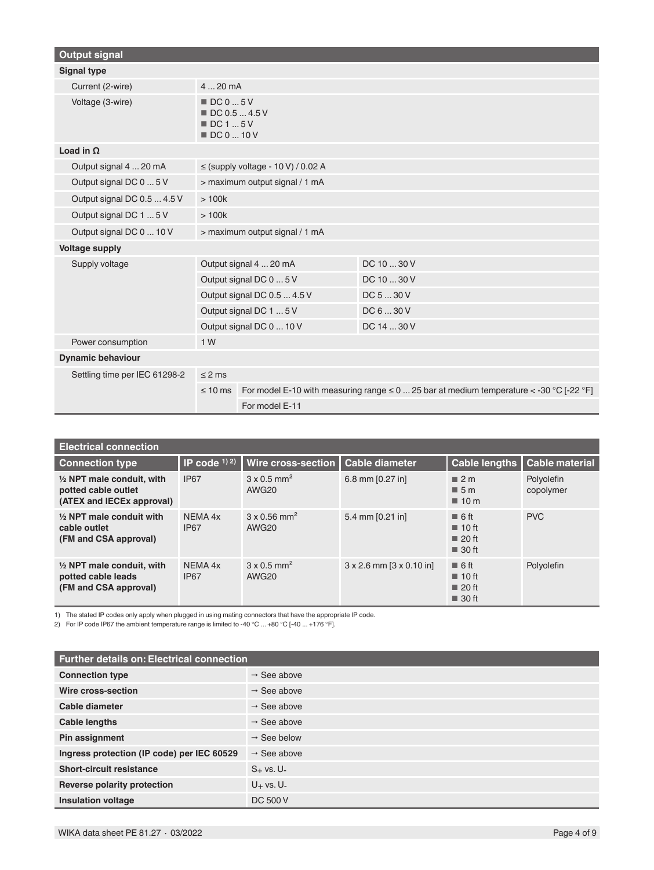| <b>Output signal</b>          |                                                                                       |                                        |                                                                                                |  |  |
|-------------------------------|---------------------------------------------------------------------------------------|----------------------------------------|------------------------------------------------------------------------------------------------|--|--|
| <b>Signal type</b>            |                                                                                       |                                        |                                                                                                |  |  |
| Current (2-wire)              | 420mA                                                                                 |                                        |                                                                                                |  |  |
| Voltage (3-wire)              | $\blacksquare$ DC 0  5 V<br>DC 0.5  4.5 V<br>$\blacksquare$ DC 1  5 V<br>■ DC 0  10 V |                                        |                                                                                                |  |  |
| Load in $\Omega$              |                                                                                       |                                        |                                                                                                |  |  |
| Output signal 4  20 mA        |                                                                                       | $\le$ (supply voltage - 10 V) / 0.02 A |                                                                                                |  |  |
| Output signal DC 0  5 V       |                                                                                       | > maximum output signal / 1 mA         |                                                                                                |  |  |
| Output signal DC 0.5  4.5 V   | >100k                                                                                 |                                        |                                                                                                |  |  |
| Output signal DC 1  5 V       | >100k                                                                                 |                                        |                                                                                                |  |  |
| Output signal DC 0  10 V      | > maximum output signal / 1 mA                                                        |                                        |                                                                                                |  |  |
| <b>Voltage supply</b>         |                                                                                       |                                        |                                                                                                |  |  |
| Supply voltage                | Output signal 4  20 mA                                                                |                                        | DC 10  30 V                                                                                    |  |  |
|                               | Output signal DC 0  5 V                                                               |                                        | DC 10  30 V                                                                                    |  |  |
|                               | Output signal DC 0.5  4.5 V                                                           |                                        | DC 5  30 V                                                                                     |  |  |
|                               | Output signal DC 1  5 V                                                               |                                        | DC 6  30 V                                                                                     |  |  |
|                               | Output signal DC 0  10 V                                                              |                                        | DC 14  30 V                                                                                    |  |  |
| Power consumption             | 1W                                                                                    |                                        |                                                                                                |  |  |
| <b>Dynamic behaviour</b>      |                                                                                       |                                        |                                                                                                |  |  |
| Settling time per IEC 61298-2 | $\leq$ 2 ms                                                                           |                                        |                                                                                                |  |  |
|                               | $\leq 10$ ms                                                                          |                                        | For model E-10 with measuring range $\leq$ 0  25 bar at medium temperature $<$ -30 °C [-22 °F] |  |  |
|                               |                                                                                       | For model E-11                         |                                                                                                |  |  |

| <b>Electrical connection</b>                                                             |                        |                                                      |                                       |                                                                                             |                         |
|------------------------------------------------------------------------------------------|------------------------|------------------------------------------------------|---------------------------------------|---------------------------------------------------------------------------------------------|-------------------------|
| <b>Connection type</b>                                                                   | IP code $(1)$ 2)       | Wire cross-section                                   | <b>Cable diameter</b>                 | Cable lengths                                                                               | <b>Cable material</b>   |
| $\frac{1}{2}$ NPT male conduit, with<br>potted cable outlet<br>(ATEX and IECEx approval) | <b>IP67</b>            | $3 \times 0.5$ mm <sup>2</sup><br>AWG <sub>20</sub>  | 6.8 mm [0.27 in]                      | $\blacksquare$ 2 m<br>$\blacksquare$ 5 m<br>$\blacksquare$ 10 m                             | Polyolefin<br>copolymer |
| $\frac{1}{2}$ NPT male conduit with<br>cable outlet<br>(FM and CSA approval)             | NEMA 4x<br><b>IP67</b> | $3 \times 0.56$ mm <sup>2</sup><br>AWG <sub>20</sub> | 5.4 mm $[0.21$ in                     | $\blacksquare$ 6 ft<br>$\blacksquare$ 10 ft<br>$\blacksquare$ 20 ft<br>■ 30 ft              | <b>PVC</b>              |
| $\frac{1}{2}$ NPT male conduit, with<br>potted cable leads<br>(FM and CSA approval)      | NEMA 4x<br><b>IP67</b> | $3 \times 0.5$ mm <sup>2</sup><br>AWG <sub>20</sub>  | $3 \times 2.6$ mm $[3 \times 0.10$ in | $\blacksquare$ 6 ft<br>$\blacksquare$ 10 ft<br>$\blacksquare$ 20 ft<br>$\blacksquare$ 30 ft | Polyolefin              |

1) The stated IP codes only apply when plugged in using mating connectors that have the appropriate IP code.

2) For IP code IP67 the ambient temperature range is limited to -40 °C ... +80 °C [-40 ... +176 °F].

| <b>Further details on: Electrical connection</b> |                         |  |  |
|--------------------------------------------------|-------------------------|--|--|
| <b>Connection type</b>                           | $\rightarrow$ See above |  |  |
| Wire cross-section                               | $\rightarrow$ See above |  |  |
| Cable diameter                                   | $\rightarrow$ See above |  |  |
| Cable lengths                                    | $\rightarrow$ See above |  |  |
| Pin assignment                                   | $\rightarrow$ See below |  |  |
| Ingress protection (IP code) per IEC 60529       | $\rightarrow$ See above |  |  |
| <b>Short-circuit resistance</b>                  | $S_{+}$ vs. U-          |  |  |
| Reverse polarity protection                      | $U_+$ vs. $U_-$         |  |  |
| <b>Insulation voltage</b>                        | DC 500 V                |  |  |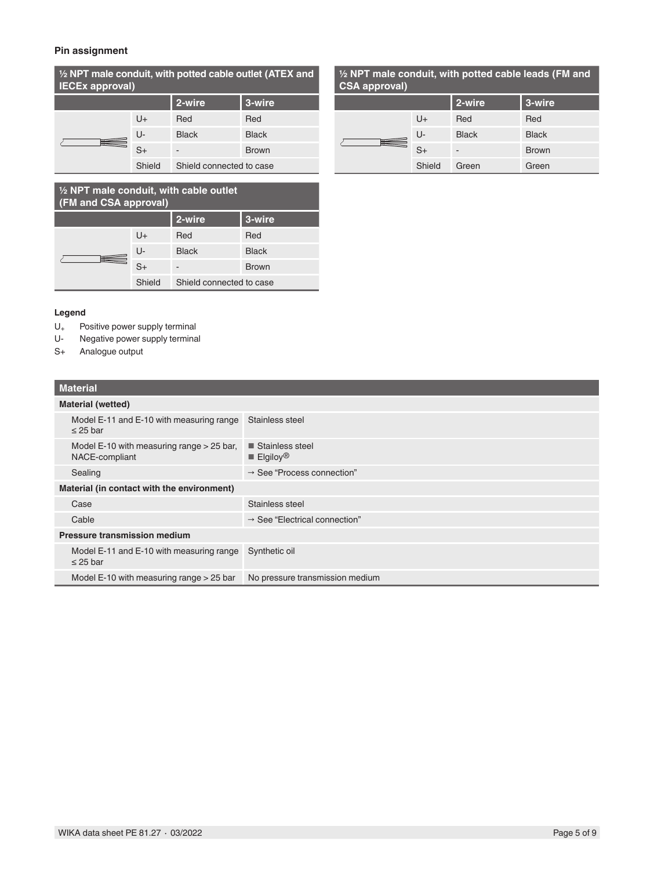### **Pin assignment**

**½ NPT male conduit, with potted cable outlet (ATEX and IECEx approval)**

| . |        |                          |              |
|---|--------|--------------------------|--------------|
|   |        | 2-wire                   | 3-wire       |
|   | U+     | Red                      | Red          |
|   | U-     | <b>Black</b>             | <b>Black</b> |
|   | $S+$   | -                        | <b>Brown</b> |
|   | Shield | Shield connected to case |              |

### **½ NPT male conduit, with cable outlet (FM and CSA approval) 2-wire 3-wire** U+ Red Red U- Black Black Γ  $\equiv$ S+ - Brown Shield Shield connected to case

#### **Legend**

- U<sub>+</sub> Positive power supply terminal<br>U- Negative power supply terminal
- Negative power supply terminal
- S+ Analogue output

### **Material**

|                                     | <b>Material (wetted)</b>                                        |                                                          |  |  |  |
|-------------------------------------|-----------------------------------------------------------------|----------------------------------------------------------|--|--|--|
|                                     | Model E-11 and E-10 with measuring range<br>$\leq$ 25 bar       | Stainless steel                                          |  |  |  |
|                                     | Model $E-10$ with measuring range $> 25$ bar,<br>NACE-compliant | ■ Stainless steel<br>$\blacksquare$ Elgiloy <sup>®</sup> |  |  |  |
|                                     | Sealing                                                         | $\rightarrow$ See "Process connection"                   |  |  |  |
|                                     | Material (in contact with the environment)                      |                                                          |  |  |  |
|                                     | Case                                                            | Stainless steel                                          |  |  |  |
|                                     | Cable                                                           | $\rightarrow$ See "Electrical connection"                |  |  |  |
| <b>Pressure transmission medium</b> |                                                                 |                                                          |  |  |  |
|                                     | Model E-11 and E-10 with measuring range<br>$\leq$ 25 bar       | Synthetic oil                                            |  |  |  |
|                                     |                                                                 |                                                          |  |  |  |

# Model E-10 with measuring range > 25 bar No pressure transmission medium

### **½ NPT male conduit, with potted cable leads (FM and CSA approval)**

| $V/T$ upprover |        |                          |              |  |
|----------------|--------|--------------------------|--------------|--|
|                |        | 2-wire                   | 3-wire       |  |
|                | $U +$  | Red                      | Red          |  |
|                | U-     | <b>Black</b>             | <b>Black</b> |  |
|                | S+     | $\overline{\phantom{a}}$ | <b>Brown</b> |  |
|                | Shield | Green                    | Green        |  |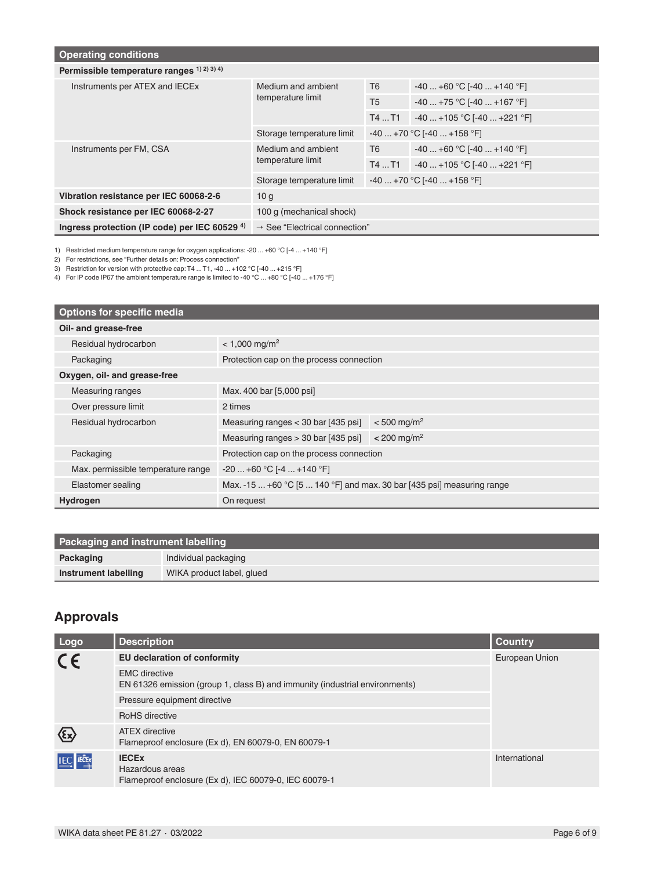| <b>Operating conditions</b>                            |                                           |                            |                              |  |  |
|--------------------------------------------------------|-------------------------------------------|----------------------------|------------------------------|--|--|
| Permissible temperature ranges $(1)$ $(2)$ $(3)$ $(4)$ |                                           |                            |                              |  |  |
| Instruments per ATEX and IECEx                         | Medium and ambient                        | T <sub>6</sub>             | $-40+60$ °C [-40  +140 °F]   |  |  |
|                                                        | temperature limit                         | T <sub>5</sub>             | $-40+75$ °C [-40  +167 °F]   |  |  |
|                                                        |                                           | T4T1                       | $-40+105$ °C [-40  +221 °F]  |  |  |
|                                                        | Storage temperature limit                 |                            | $-40+70$ °C [-40  +158 °F]   |  |  |
| Instruments per FM, CSA                                | Medium and ambient<br>temperature limit   | T <sub>6</sub>             | $-40+60$ °C [-40  +140 °F]   |  |  |
|                                                        |                                           | T4T1                       | $-40$ +105 °C [-40  +221 °F] |  |  |
|                                                        | Storage temperature limit                 | $-40+70$ °C [-40  +158 °F] |                              |  |  |
| Vibration resistance per IEC 60068-2-6                 | 10 <sub>q</sub>                           |                            |                              |  |  |
| Shock resistance per IEC 60068-2-27                    | 100 g (mechanical shock)                  |                            |                              |  |  |
| Ingress protection (IP code) per IEC 60529 $4$ )       | $\rightarrow$ See "Electrical connection" |                            |                              |  |  |

1) Restricted medium temperature range for oxygen applications: -20 ... +60 °C [-4 ... +140 °F]

2) For restrictions, see "Further details on: Process connection"

3) Restriction for version with protective cap: T4 ... T1, -40 ... +102 °C [-40 ... +215 °F]

4) For IP code IP67 the ambient temperature range is limited to -40 °C ... +80 °C [-40 ... +176 °F]

| <b>Options for specific media</b>  |                                                                        |                           |  |
|------------------------------------|------------------------------------------------------------------------|---------------------------|--|
| Oil- and grease-free               |                                                                        |                           |  |
| Residual hydrocarbon               | $< 1,000$ mg/m <sup>2</sup>                                            |                           |  |
| Packaging                          | Protection cap on the process connection                               |                           |  |
| Oxygen, oil- and grease-free       |                                                                        |                           |  |
| <b>Measuring ranges</b>            | Max. 400 bar [5,000 psi]                                               |                           |  |
| Over pressure limit                | 2 times                                                                |                           |  |
| Residual hydrocarbon               | Measuring ranges < 30 bar [435 psi]                                    | $< 500$ mg/m <sup>2</sup> |  |
|                                    | Measuring ranges $>$ 30 bar [435 psi]                                  | $< 200$ mg/m <sup>2</sup> |  |
| Packaging                          | Protection cap on the process connection                               |                           |  |
| Max. permissible temperature range | $-20$ +60 °C [ $-4$ +140 °F]                                           |                           |  |
| Elastomer sealing                  | Max. -15  +60 °C [5  140 °F] and max. 30 bar [435 psi] measuring range |                           |  |
| Hydrogen                           | On request                                                             |                           |  |

| <b>Packaging and instrument labelling</b> |                           |  |
|-------------------------------------------|---------------------------|--|
| Packaging                                 | Individual packaging      |  |
| Instrument labelling                      | WIKA product label, glued |  |

# **Approvals**

| Logo                                  | <b>Description</b>                                                                                  | <b>Country</b> |
|---------------------------------------|-----------------------------------------------------------------------------------------------------|----------------|
| $C\epsilon$                           | <b>EU declaration of conformity</b>                                                                 | European Union |
|                                       | <b>EMC</b> directive<br>EN 61326 emission (group 1, class B) and immunity (industrial environments) |                |
|                                       | Pressure equipment directive                                                                        |                |
|                                       | RoHS directive                                                                                      |                |
| $\langle \epsilon \mathbf{x} \rangle$ | <b>ATEX</b> directive<br>Flameproof enclosure (Ex d), EN 60079-0, EN 60079-1                        |                |
| <b>IEC IECEx</b>                      | <b>IECEX</b><br>Hazardous areas<br>Flameproof enclosure (Ex d), IEC 60079-0, IEC 60079-1            | International  |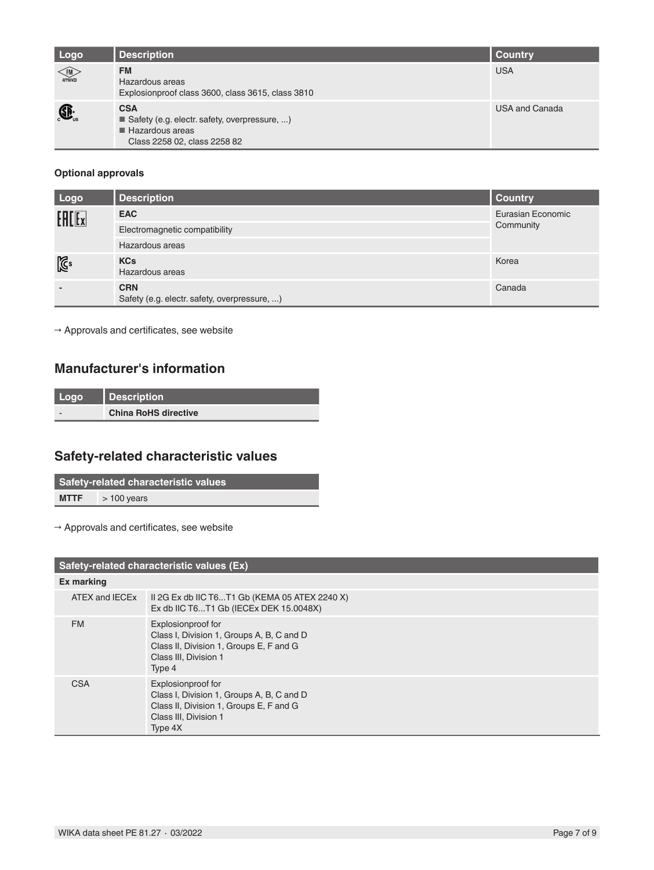| Logo                 | <b>Description</b>                                                                                                           | <b>Country</b> |
|----------------------|------------------------------------------------------------------------------------------------------------------------------|----------------|
| <b>FM</b>            | <b>FM</b><br>Hazardous areas<br>Explosionproof class 3600, class 3615, class 3810                                            | <b>USA</b>     |
| $\bigoplus_{\cup s}$ | <b>CSA</b><br>Safety (e.g. electr. safety, overpressure, )<br>$\blacksquare$ Hazardous areas<br>Class 2258 02, class 2258 82 | USA and Canada |

### **Optional approvals**

| Logo           | <b>Description</b>                                         | <b>Country</b>    |
|----------------|------------------------------------------------------------|-------------------|
| <b>EALEx</b>   | <b>EAC</b>                                                 | Eurasian Economic |
|                | Electromagnetic compatibility                              | Community         |
|                | Hazardous areas                                            |                   |
| $\mathbb{Z}^3$ | <b>KCs</b><br>Hazardous areas                              | Korea             |
|                | <b>CRN</b><br>Safety (e.g. electr. safety, overpressure, ) | Canada            |

 $\rightarrow$  Approvals and certificates, see website

## **Manufacturer's information**

| Logo | <b>Description</b>          |
|------|-----------------------------|
|      | <b>China RoHS directive</b> |

# **Safety-related characteristic values**

| Safety-related characteristic values |              |  |
|--------------------------------------|--------------|--|
| <b>MTTF</b>                          | $>100$ years |  |

 $\rightarrow$  Approvals and certificates, see website

| Safety-related characteristic values (Ex) |                                                                                                                                                |  |
|-------------------------------------------|------------------------------------------------------------------------------------------------------------------------------------------------|--|
| Ex marking                                |                                                                                                                                                |  |
| ATEX and IECEx                            | II 2G Ex db IIC T6T1 Gb (KEMA 05 ATEX 2240 X)<br>Ex db IIC T6T1 Gb (IECEx DEK 15.0048X)                                                        |  |
| <b>FM</b>                                 | Explosionproof for<br>Class I, Division 1, Groups A, B, C and D<br>Class II, Division 1, Groups E, F and G<br>Class III, Division 1<br>Type 4  |  |
| <b>CSA</b>                                | Explosionproof for<br>Class I, Division 1, Groups A, B, C and D<br>Class II, Division 1, Groups E, F and G<br>Class III, Division 1<br>Type 4X |  |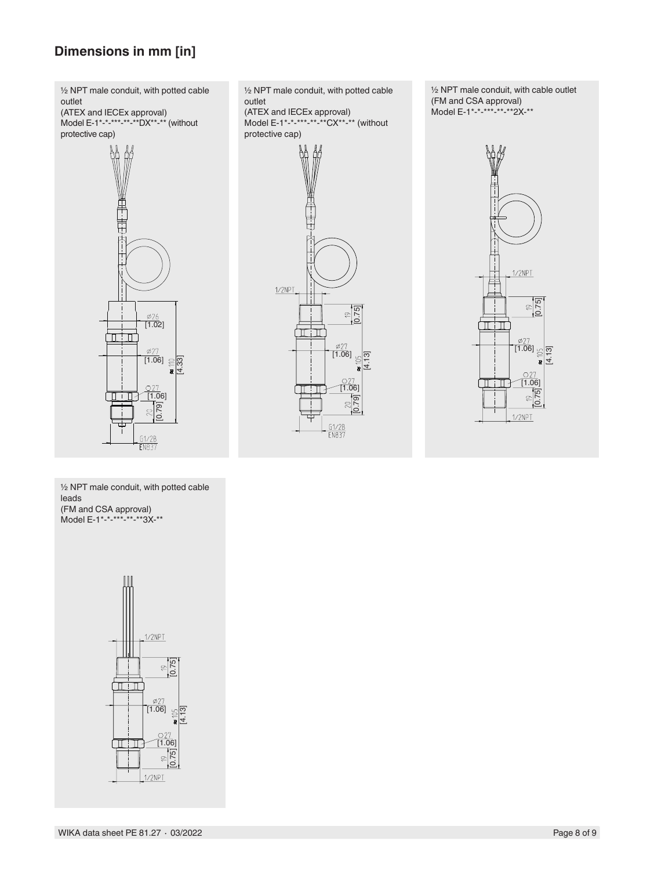# **Dimensions in mm [in]**



½ NPT male conduit, with potted cable outlet (ATEX and IECEx approval) Model E-1\*-\*-\*\*\*-\*\*-\*\*CX\*\*-\*\* (without protective cap)

[4.13]

5C

 $\frac{\emptyset27}{[1.06]}$ 

πm

 $1/2$ NPT

[1.06]

 $\approx$ 

G1/2B<br>EN837

[0.79]

 $\frac{1}{2}$ 

½ NPT male conduit, with cable outlet (FM and CSA approval) Model E-1\*-\*-\*\*-\*\*-\*\*2X-\*\*



½ NPT male conduit, with potted cable leads (FM and CSA approval) Model E-1\*-\*-\*\*\*-\*\*-\*\*3X-\*\*



WIKA data sheet PE 81.27 ⋅ 03/2022 Page 8 of 9